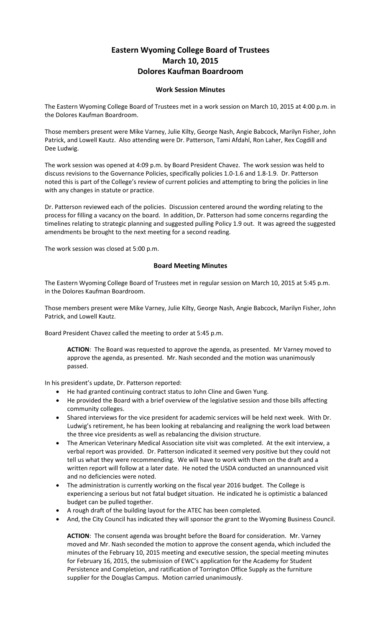## **Eastern Wyoming College Board of Trustees March 10, 2015 Dolores Kaufman Boardroom**

## **Work Session Minutes**

The Eastern Wyoming College Board of Trustees met in a work session on March 10, 2015 at 4:00 p.m. in the Dolores Kaufman Boardroom.

Those members present were Mike Varney, Julie Kilty, George Nash, Angie Babcock, Marilyn Fisher, John Patrick, and Lowell Kautz. Also attending were Dr. Patterson, Tami Afdahl, Ron Laher, Rex Cogdill and Dee Ludwig.

The work session was opened at 4:09 p.m. by Board President Chavez. The work session was held to discuss revisions to the Governance Policies, specifically policies 1.0-1.6 and 1.8-1.9. Dr. Patterson noted this is part of the College's review of current policies and attempting to bring the policies in line with any changes in statute or practice.

Dr. Patterson reviewed each of the policies. Discussion centered around the wording relating to the process for filling a vacancy on the board. In addition, Dr. Patterson had some concerns regarding the timelines relating to strategic planning and suggested pulling Policy 1.9 out. It was agreed the suggested amendments be brought to the next meeting for a second reading.

The work session was closed at 5:00 p.m.

## **Board Meeting Minutes**

The Eastern Wyoming College Board of Trustees met in regular session on March 10, 2015 at 5:45 p.m. in the Dolores Kaufman Boardroom.

Those members present were Mike Varney, Julie Kilty, George Nash, Angie Babcock, Marilyn Fisher, John Patrick, and Lowell Kautz.

Board President Chavez called the meeting to order at 5:45 p.m.

**ACTION**: The Board was requested to approve the agenda, as presented. Mr Varney moved to approve the agenda, as presented. Mr. Nash seconded and the motion was unanimously passed.

In his president's update, Dr. Patterson reported:

- He had granted continuing contract status to John Cline and Gwen Yung.
- He provided the Board with a brief overview of the legislative session and those bills affecting community colleges.
- Shared interviews for the vice president for academic services will be held next week. With Dr. Ludwig's retirement, he has been looking at rebalancing and realigning the work load between the three vice presidents as well as rebalancing the division structure.
- The American Veterinary Medical Association site visit was completed. At the exit interview, a verbal report was provided. Dr. Patterson indicated it seemed very positive but they could not tell us what they were recommending. We will have to work with them on the draft and a written report will follow at a later date. He noted the USDA conducted an unannounced visit and no deficiencies were noted.
- The administration is currently working on the fiscal year 2016 budget. The College is experiencing a serious but not fatal budget situation. He indicated he is optimistic a balanced budget can be pulled together.
- A rough draft of the building layout for the ATEC has been completed.
- And, the City Council has indicated they will sponsor the grant to the Wyoming Business Council.

**ACTION**: The consent agenda was brought before the Board for consideration. Mr. Varney moved and Mr. Nash seconded the motion to approve the consent agenda, which included the minutes of the February 10, 2015 meeting and executive session, the special meeting minutes for February 16, 2015, the submission of EWC's application for the Academy for Student Persistence and Completion, and ratification of Torrington Office Supply as the furniture supplier for the Douglas Campus. Motion carried unanimously.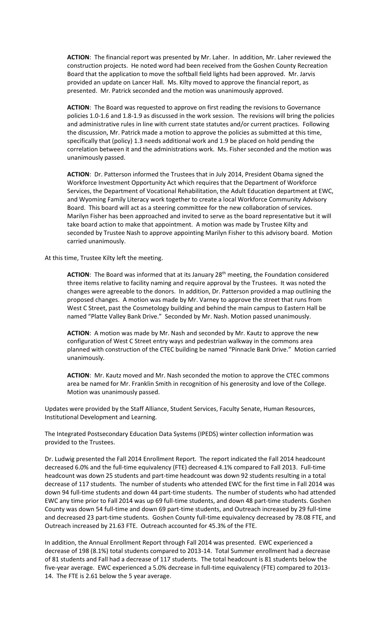**ACTION**: The financial report was presented by Mr. Laher. In addition, Mr. Laher reviewed the construction projects. He noted word had been received from the Goshen County Recreation Board that the application to move the softball field lights had been approved. Mr. Jarvis provided an update on Lancer Hall. Ms. Kilty moved to approve the financial report, as presented. Mr. Patrick seconded and the motion was unanimously approved.

**ACTION**: The Board was requested to approve on first reading the revisions to Governance policies 1.0-1.6 and 1.8-1.9 as discussed in the work session. The revisions will bring the policies and administrative rules in line with current state statutes and/or current practices. Following the discussion, Mr. Patrick made a motion to approve the policies as submitted at this time, specifically that (policy) 1.3 needs additional work and 1.9 be placed on hold pending the correlation between it and the administrations work. Ms. Fisher seconded and the motion was unanimously passed.

**ACTION**: Dr. Patterson informed the Trustees that in July 2014, President Obama signed the Workforce Investment Opportunity Act which requires that the Department of Workforce Services, the Department of Vocational Rehabilitation, the Adult Education department at EWC, and Wyoming Family Literacy work together to create a local Workforce Community Advisory Board. This board will act as a steering committee for the new collaboration of services. Marilyn Fisher has been approached and invited to serve as the board representative but it will take board action to make that appointment. A motion was made by Trustee Kilty and seconded by Trustee Nash to approve appointing Marilyn Fisher to this advisory board. Motion carried unanimously.

At this time, Trustee Kilty left the meeting.

ACTION: The Board was informed that at its January 28<sup>th</sup> meeting, the Foundation considered three items relative to facility naming and require approval by the Trustees. It was noted the changes were agreeable to the donors. In addition, Dr. Patterson provided a map outlining the proposed changes. A motion was made by Mr. Varney to approve the street that runs from West C Street, past the Cosmetology building and behind the main campus to Eastern Hall be named "Platte Valley Bank Drive." Seconded by Mr. Nash. Motion passed unanimously.

**ACTION**: A motion was made by Mr. Nash and seconded by Mr. Kautz to approve the new configuration of West C Street entry ways and pedestrian walkway in the commons area planned with construction of the CTEC building be named "Pinnacle Bank Drive." Motion carried unanimously.

**ACTION**: Mr. Kautz moved and Mr. Nash seconded the motion to approve the CTEC commons area be named for Mr. Franklin Smith in recognition of his generosity and love of the College. Motion was unanimously passed.

Updates were provided by the Staff Alliance, Student Services, Faculty Senate, Human Resources, Institutional Development and Learning.

The Integrated Postsecondary Education Data Systems (IPEDS) winter collection information was provided to the Trustees.

Dr. Ludwig presented the Fall 2014 Enrollment Report. The report indicated the Fall 2014 headcount decreased 6.0% and the full-time equivalency (FTE) decreased 4.1% compared to Fall 2013. Full-time headcount was down 25 students and part-time headcount was down 92 students resulting in a total decrease of 117 students. The number of students who attended EWC for the first time in Fall 2014 was down 94 full-time students and down 44 part-time students. The number of students who had attended EWC any time prior to Fall 2014 was up 69 full-time students, and down 48 part-time students. Goshen County was down 54 full-time and down 69 part-time students, and Outreach increased by 29 full-time and decreased 23 part-time students. Goshen County full-time equivalency decreased by 78.08 FTE, and Outreach increased by 21.63 FTE. Outreach accounted for 45.3% of the FTE.

In addition, the Annual Enrollment Report through Fall 2014 was presented. EWC experienced a decrease of 198 (8.1%) total students compared to 2013-14. Total Summer enrollment had a decrease of 81 students and Fall had a decrease of 117 students. The total headcount is 81 students below the five-year average. EWC experienced a 5.0% decrease in full-time equivalency (FTE) compared to 2013- 14. The FTE is 2.61 below the 5 year average.